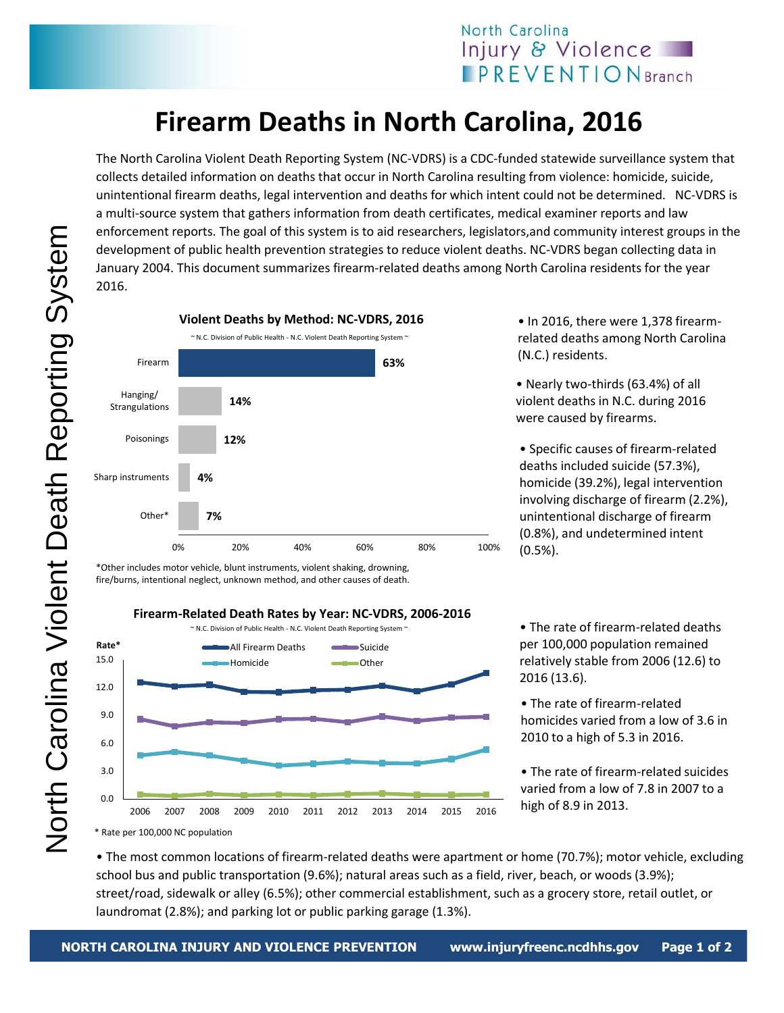## **Firearm Deaths in North Carolina, 2016**

The North Carolina Violent Death Reporting System (NC-VDRS) is a CDC-funded statewide surveillance system that collects detailed information on deaths that occur in North Carolina resulting from violence: homicide, suicide, unintentional firearm deaths, legal intervention and deaths for which intent could not be determined. NC-VDRS is a multi-source system that gathers information from death certificates, medical examiner reports and law enforcement reports. The goal of this system is to aid researchers, legislators,and community interest groups in the development of public health prevention strategies to reduce violent deaths. NC-VDRS began collecting data in January 2004. This document summarizes firearm-related deaths among North Carolina residents for the year 2016.



\*Other includes motor vehicle, blunt instruments, violent shaking, drowning, fire/burns, intentional neglect, unknown method, and other causes of death.



• In 2016, there were 1,378 firearmrelated deaths among North Carolina (N.C.) residents.

• Nearly two-thirds (63.4%) of all violent deaths in N.C. during 2016 were caused by firearms.

• Specific causes of firearm-related deaths included suicide (57.3%), homicide (39.2%), legal intervention involving discharge of firearm (2.2%), unintentional discharge of firearm (0.8%), and undetermined intent (0.5%).

• The rate of firearm-related deaths per 100,000 population remained relatively stable from 2006 (12.6) to 2016 (13.6).

• The rate of firearm-related homicides varied from a low of 3.6 in 2010 to a high of 5.3 in 2016.

• The rate of firearm-related suicides varied from a low of 7.8 in 2007 to a high of 8.9 in 2013.

\* Rate per 100,000 NC population

• The most common locations of firearm-related deaths were apartment or home (70.7%); motor vehicle, excluding school bus and public transportation (9.6%); natural areas such as a field, river, beach, or woods (3.9%); street/road, sidewalk or alley (6.5%); other commercial establishment, such as a grocery store, retail outlet, or laundromat (2.8%); and parking lot or public parking garage (1.3%).

North Carolina Violent Death Reporting SystemNorth Carolina Violent Death Reporting System